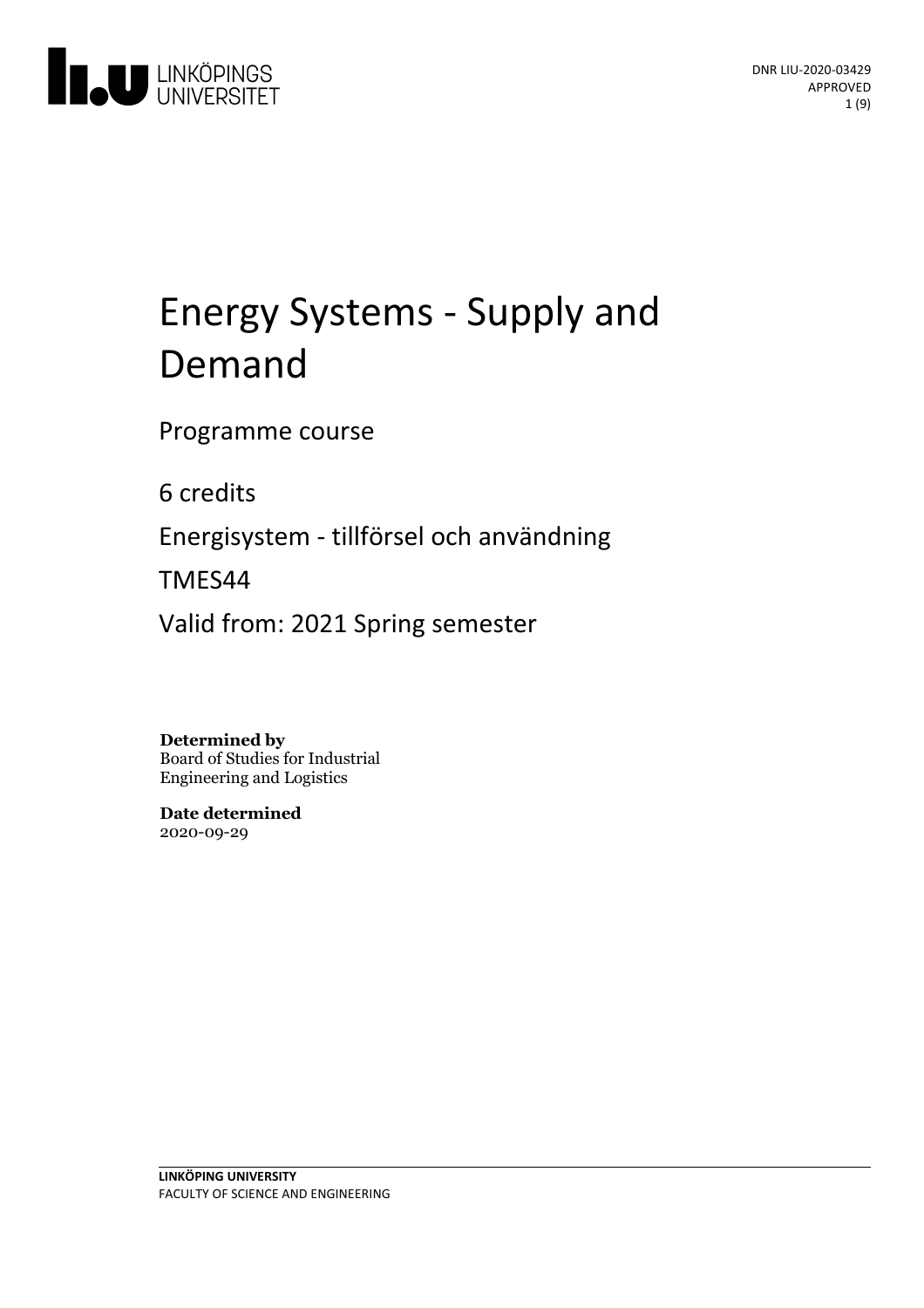

# Energy Systems - Supply and Demand

Programme course

6 credits

Energisystem - tillförsel och användning

TMES44

Valid from: 2021 Spring semester

**Determined by**

Board of Studies for Industrial Engineering and Logistics

**Date determined** 2020-09-29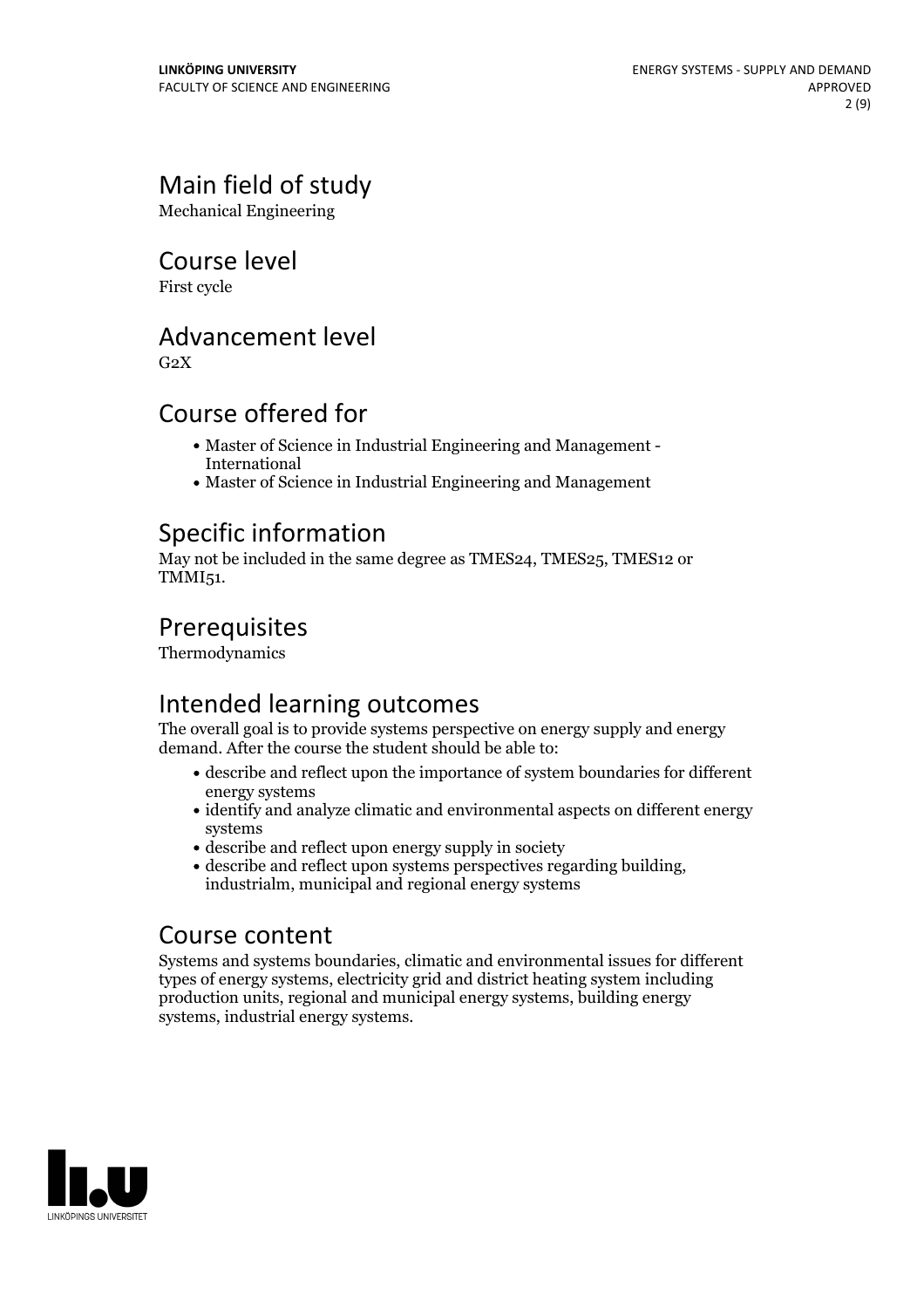# Main field of study

Mechanical Engineering

### Course level

First cycle

# Advancement level

 $G<sub>2</sub>X$ 

# Course offered for

- Master of Science in Industrial Engineering and Management International
- Master of Science in Industrial Engineering and Management

# Specific information

May not be included in the same degree as TMES24, TMES25, TMES12 or TMMI51.

# Prerequisites

Thermodynamics

# Intended learning outcomes

The overall goal is to provide systems perspective on energy supply and energy demand. After the course the student should be able to:

- describe and reflect upon the importance of system boundaries for different energy systems
- identify and analyze climatic and environmental aspects on different energy systems
- describe and reflect upon energy supply in society
- describe and reflect upon systems perspectives regarding building, industrialm, municipal and regional energy systems

# Course content

Systems and systems boundaries, climatic and environmental issues for different types of energy systems, electricity grid and district heating system including production units, regional and municipal energy systems, building energy systems, industrial energy systems.

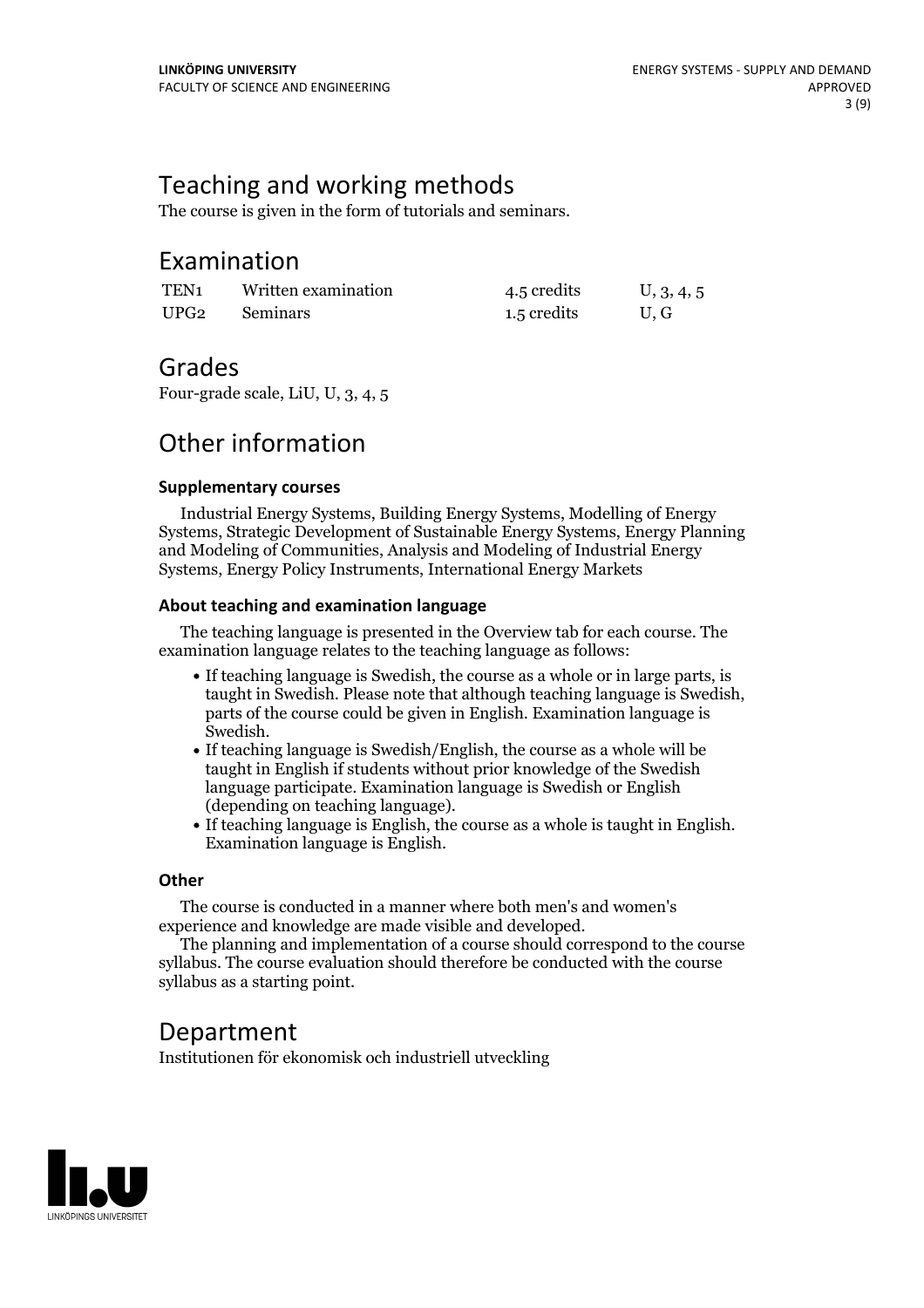# Teaching and working methods

The course is given in the form of tutorials and seminars.

### Examination

| TEN <sub>1</sub> | Written examination | 4.5 credits | U, 3, 4, 5 |
|------------------|---------------------|-------------|------------|
| UPG <sub>2</sub> | Seminars            | 1.5 credits | U.G        |

### Grades

Four-grade scale, LiU, U, 3, 4, 5

# Other information

### **Supplementarycourses**

Industrial Energy Systems, Building Energy Systems, Modelling of Energy Systems, Strategic Development of Sustainable Energy Systems, Energy Planning and Modeling of Communities, Analysis and Modeling of Industrial Energy Systems, Energy Policy Instruments, International Energy Markets

### **About teaching and examination language**

The teaching language is presented in the Overview tab for each course. The examination language relates to the teaching language as follows:

- If teaching language is Swedish, the course as a whole or in large parts, is taught in Swedish. Please note that although teaching language is Swedish, parts of the course could be given in English. Examination language is
- Swedish.<br>• If teaching language is Swedish/English, the course as a whole will be taught in English if students without prior knowledge of the Swedish language participate. Examination language is Swedish or English
- (depending on teaching language).<br>• If teaching language is English, the course as a whole is taught in English.<br>Examination language is English.

### **Other**

The course is conducted in a manner where both men's and women's

The planning and implementation of a course should correspond to the course syllabus. The course evaluation should therefore be conducted with the course syllabus as a starting point.

### Department

Institutionen för ekonomisk och industriell utveckling

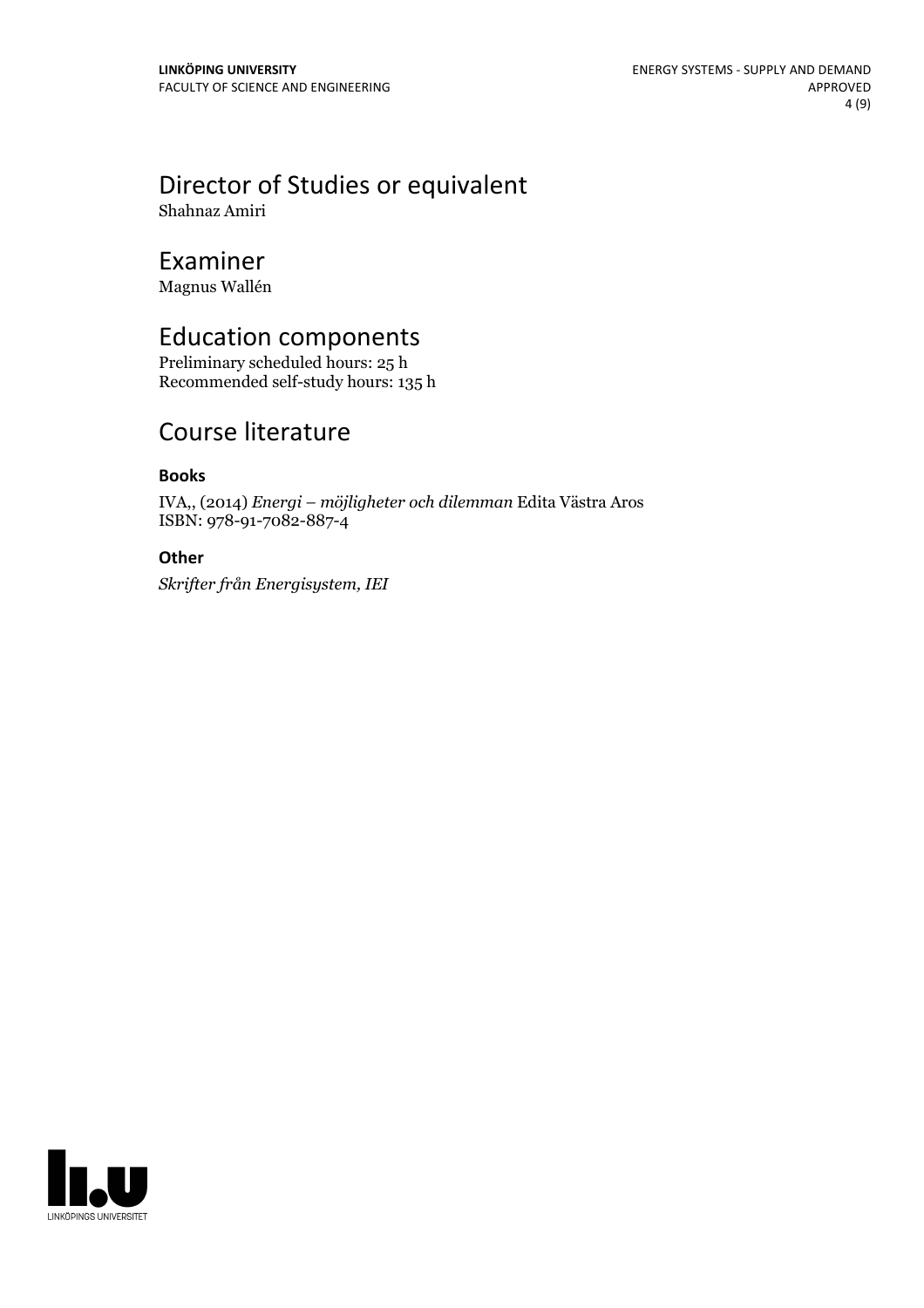# Director of Studies or equivalent

Shahnaz Amiri

# Examiner

Magnus Wallén

# Education components

Preliminary scheduled hours: 25 h Recommended self-study hours: 135 h

# Course literature

### **Books**

IVA,, (2014) *Energi – möjligheter och dilemman* Edita Västra Aros ISBN: 978-91-7082-887-4

### **Other**

*Skrifter från Energisystem, IEI*

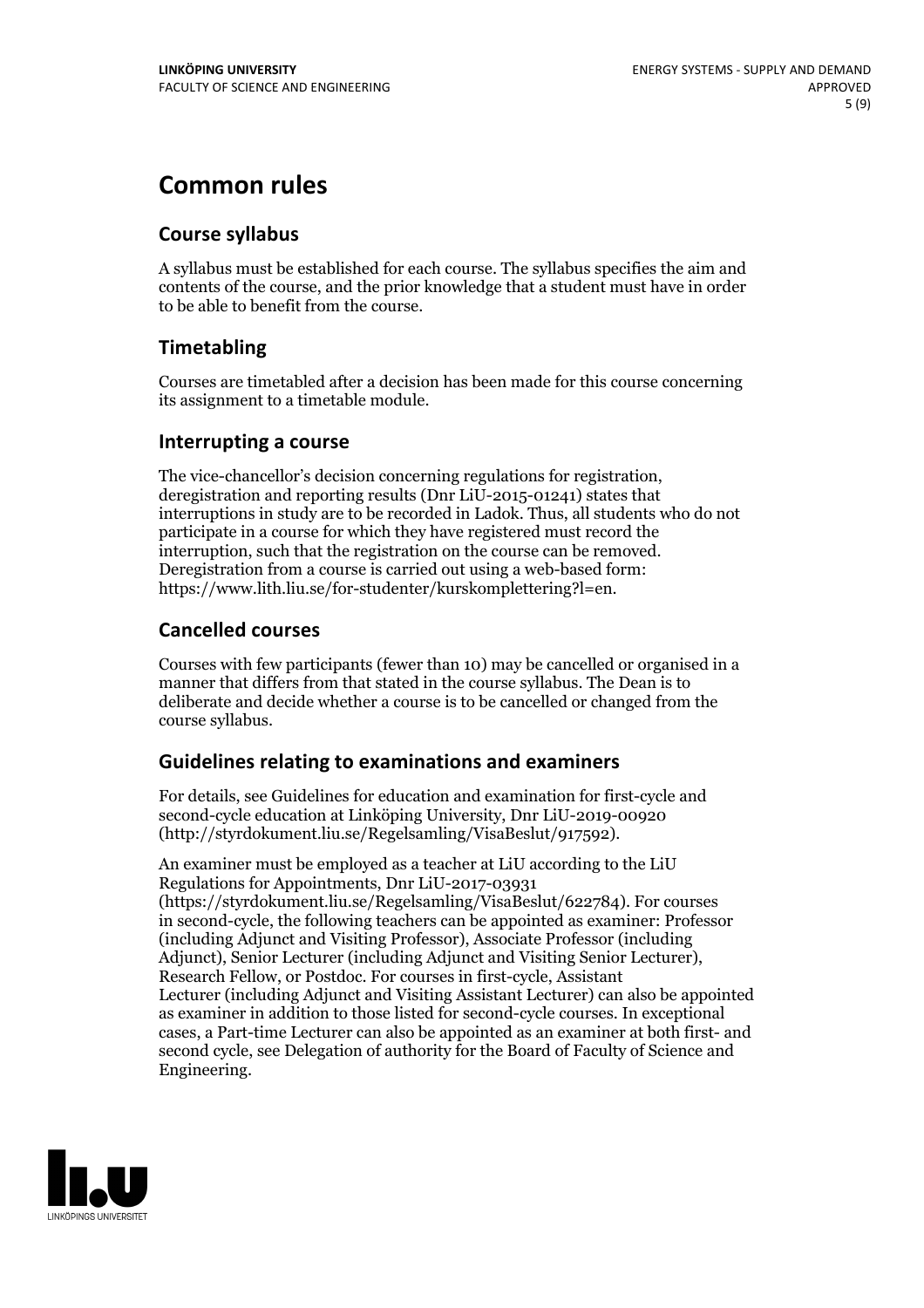# **Common rules**

### **Course syllabus**

A syllabus must be established for each course. The syllabus specifies the aim and contents of the course, and the prior knowledge that a student must have in order to be able to benefit from the course.

### **Timetabling**

Courses are timetabled after a decision has been made for this course concerning its assignment to a timetable module.

### **Interrupting a course**

The vice-chancellor's decision concerning regulations for registration, deregistration and reporting results (Dnr LiU-2015-01241) states that interruptions in study are to be recorded in Ladok. Thus, all students who do not participate in a course for which they have registered must record the interruption, such that the registration on the course can be removed. Deregistration from <sup>a</sup> course is carried outusing <sup>a</sup> web-based form: https://www.lith.liu.se/for-studenter/kurskomplettering?l=en.

### **Cancelled courses**

Courses with few participants (fewer than 10) may be cancelled or organised in a manner that differs from that stated in the course syllabus. The Dean is to deliberate and decide whether a course is to be cancelled or changed from the course syllabus.

### **Guidelines relatingto examinations and examiners**

For details, see Guidelines for education and examination for first-cycle and second-cycle education at Linköping University, Dnr LiU-2019-00920 (http://styrdokument.liu.se/Regelsamling/VisaBeslut/917592).

An examiner must be employed as a teacher at LiU according to the LiU Regulations for Appointments, Dnr LiU-2017-03931 (https://styrdokument.liu.se/Regelsamling/VisaBeslut/622784). For courses in second-cycle, the following teachers can be appointed as examiner: Professor (including Adjunct and Visiting Professor), Associate Professor (including Adjunct), Senior Lecturer (including Adjunct and Visiting Senior Lecturer), Research Fellow, or Postdoc. For courses in first-cycle, Assistant Lecturer (including Adjunct and Visiting Assistant Lecturer) can also be appointed as examiner in addition to those listed for second-cycle courses. In exceptional cases, a Part-time Lecturer can also be appointed as an examiner at both first- and second cycle, see Delegation of authority for the Board of Faculty of Science and Engineering.

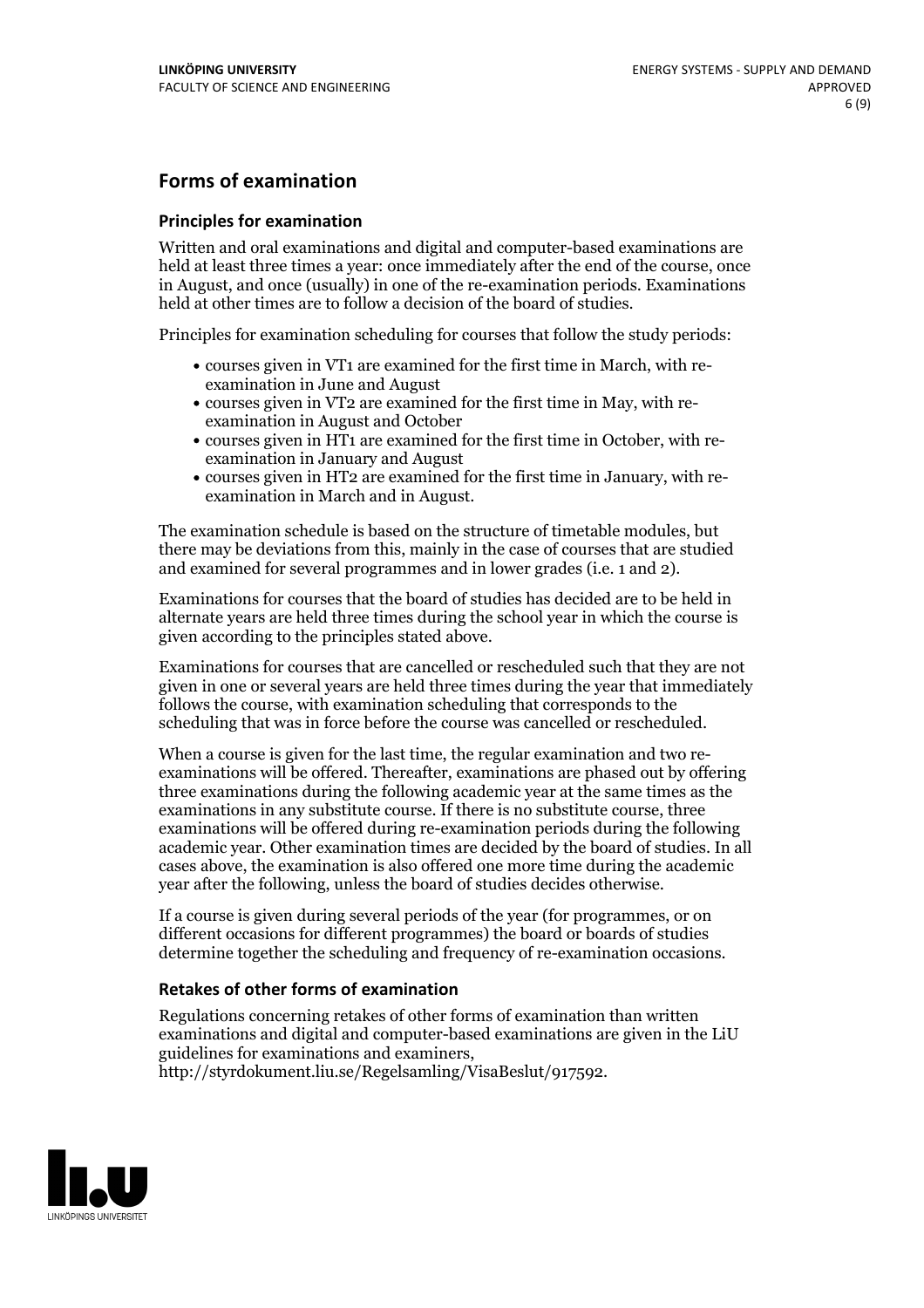### **Forms of examination**

#### **Principles for examination**

Written and oral examinations and digital and computer-based examinations are held at least three times a year: once immediately after the end of the course, once in August, and once (usually) in one of the re-examination periods. Examinations held at other times are to follow a decision of the board of studies.

Principles for examination scheduling for courses that follow the study periods:

- courses given in VT1 are examined for the first time in March, with re-examination in June and August
- courses given in VT2 are examined for the first time in May, with re-examination in August and October
- courses given in HT1 are examined for the first time in October, with re-examination in January and August
- courses given in HT2 are examined for the first time in January, with re-examination in March and in August.

The examination schedule is based on the structure of timetable modules, but there may be deviations from this, mainly in the case of courses that are studied and examined for several programmes and in lower grades (i.e. 1 and 2).

Examinations for courses that the board of studies has decided are to be held in alternate years are held three times during the school year in which the course is given according to the principles stated above.

Examinations for courses that are cancelled orrescheduled such that they are not given in one or several years are held three times during the year that immediately follows the course, with examination scheduling that corresponds to the scheduling that was in force before the course was cancelled or rescheduled.

When a course is given for the last time, the regular examination and two re-<br>examinations will be offered. Thereafter, examinations are phased out by offering three examinations during the following academic year at the same times as the examinations in any substitute course. If there is no substitute course, three examinations will be offered during re-examination periods during the following academic year. Other examination times are decided by the board of studies. In all cases above, the examination is also offered one more time during the academic year after the following, unless the board of studies decides otherwise.

If a course is given during several periods of the year (for programmes, or on different occasions for different programmes) the board or boards of studies determine together the scheduling and frequency of re-examination occasions.

#### **Retakes of other forms of examination**

Regulations concerning retakes of other forms of examination than written examinations and digital and computer-based examinations are given in the LiU guidelines for examinations and examiners, http://styrdokument.liu.se/Regelsamling/VisaBeslut/917592.

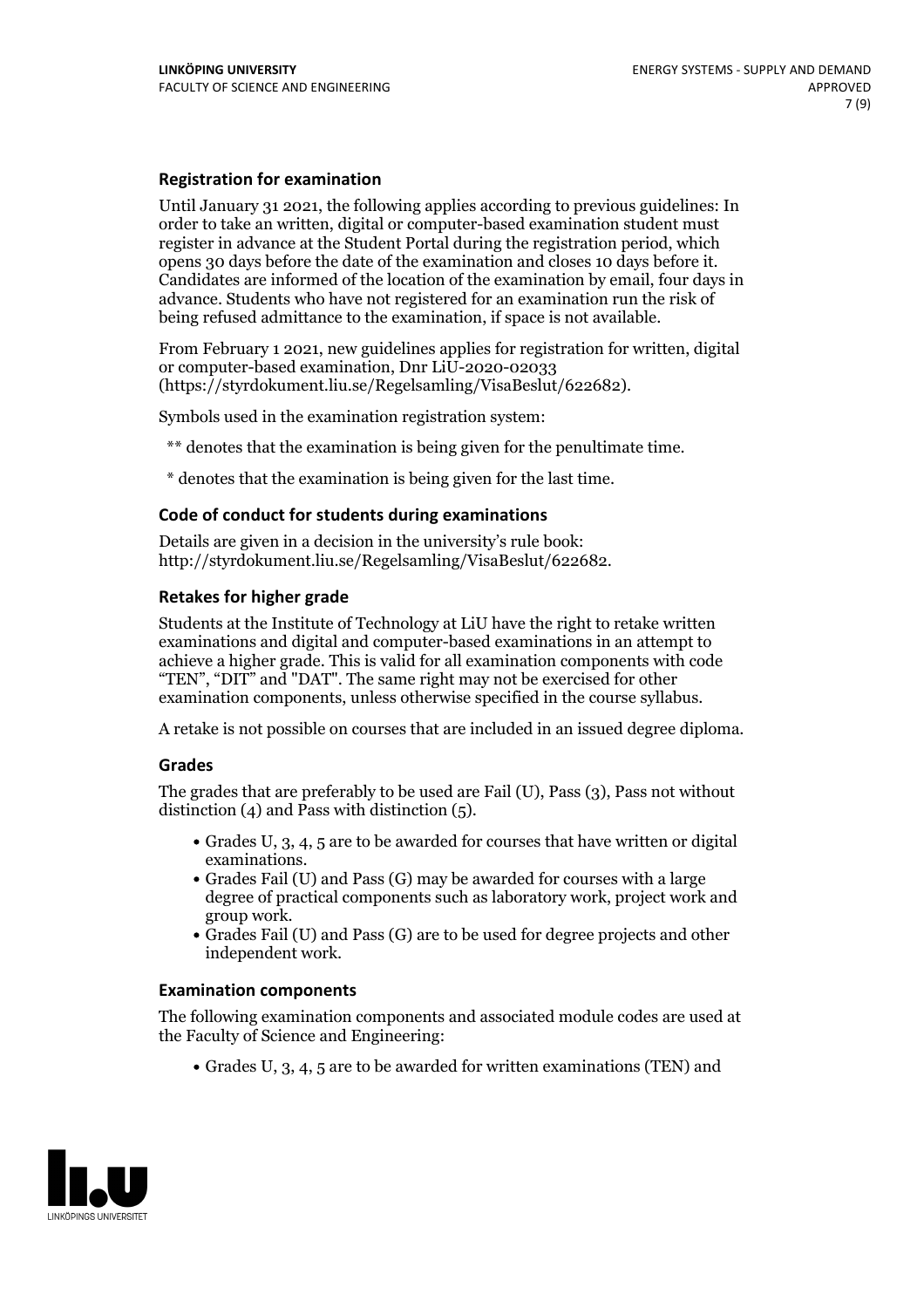### **Registration for examination**

Until January 31 2021, the following applies according to previous guidelines: In order to take an written, digital or computer-based examination student must register in advance at the Student Portal during the registration period, which Candidates are informed of the location of the examination by email, four days in advance. Students who have not registered for an examination run the risk of being refused admittance to the examination, if space is not available.

From February 1 2021, new guidelines applies for registration for written, digital or computer-based examination, Dnr LiU-2020-02033 (https://styrdokument.liu.se/Regelsamling/VisaBeslut/622682).

Symbols used in the examination registration system:

\*\* denotes that the examination is being given for the penultimate time.

\* denotes that the examination is being given for the last time.

#### **Code of conduct for students during examinations**

Details are given in a decision in the university's rule book: http://styrdokument.liu.se/Regelsamling/VisaBeslut/622682.

#### **Retakes for higher grade**

Students at the Institute of Technology at LiU have the right to retake written examinations and digital and computer-based examinations in an attempt to achieve a higher grade. This is valid for all examination components with code "TEN", "DIT" and "DAT". The same right may not be exercised for other examination components, unless otherwise specified in the course syllabus.

A retake is not possible on courses that are included in an issued degree diploma.

#### **Grades**

The grades that are preferably to be used are Fail (U), Pass (3), Pass not without distinction  $(4)$  and Pass with distinction  $(5)$ .

- Grades U, 3, 4, 5 are to be awarded for courses that have written or digital
- examinations.<br>• Grades Fail (U) and Pass (G) may be awarded for courses with a large degree of practical components such as laboratory work, project work and
- $\bullet$  Grades Fail (U) and Pass (G) are to be used for degree projects and other independent work.

#### **Examination components**

The following examination components and associated module codes are used at the Faculty of Science and Engineering:

Grades U, 3, 4, 5 are to be awarded for written examinations (TEN) and

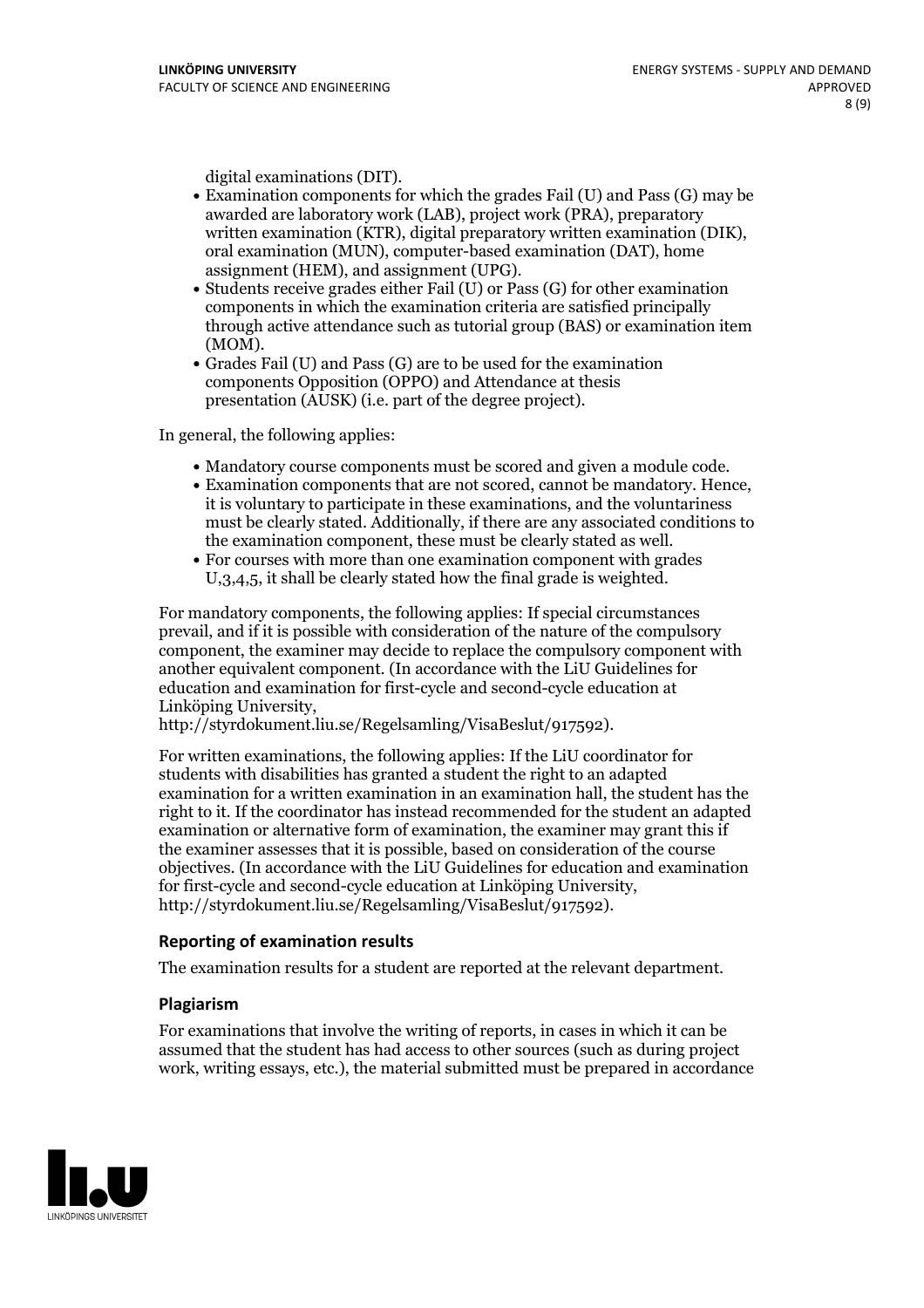- digital examinations (DIT).<br>• Examination components for which the grades Fail (U) and Pass (G) may be awarded are laboratory work (LAB), project work (PRA), preparatory written examination (KTR), digital preparatory written examination (DIK), oral examination (MUN), computer-based examination (DAT), home
- assignment (HEM), and assignment (UPG).<br>• Students receive grades either Fail (U) or Pass (G) for other examination components in which the examination criteria are satisfied principally through active attendance such as tutorial group (BAS) or examination item
- (MOM).<br>• Grades Fail (U) and Pass (G) are to be used for the examination components Opposition (OPPO) and Attendance at thesis presentation (AUSK) (i.e. part of the degree project).

In general, the following applies:

- 
- Mandatory course components must be scored and given <sup>a</sup> module code. Examination components that are not scored, cannot be mandatory. Hence, it is voluntary to participate in these examinations, and the voluntariness must be clearly stated. Additionally, if there are any associated conditions to the examination component, these must be clearly stated as well.<br>• For courses with more than one examination component with grades
- U,3,4,5, it shall be clearly stated how the final grade is weighted.

For mandatory components, the following applies: If special circumstances prevail, and if it is possible with consideration of the nature ofthe compulsory component, the examiner may decide to replace the compulsory component with another equivalent component. (In accordance with the LiU Guidelines for education and examination for first-cycle and second-cycle education at Linköping University, http://styrdokument.liu.se/Regelsamling/VisaBeslut/917592).

For written examinations, the following applies: If the LiU coordinator for students with disabilities has granted a student the right to an adapted examination for a written examination in an examination hall, the student has the right to it. If the coordinator has instead recommended for the student an adapted examination or alternative form of examination, the examiner may grant this if the examiner assesses that it is possible, based on consideration of the course objectives. (In accordance with the LiU Guidelines for education and examination for first-cycle and second-cycle education at Linköping University, http://styrdokument.liu.se/Regelsamling/VisaBeslut/917592).

#### **Reporting of examination results**

The examination results for a student are reported at the relevant department.

#### **Plagiarism**

For examinations that involve the writing of reports, in cases in which it can be assumed that the student has had access to other sources (such as during project work, writing essays, etc.), the material submitted must be prepared in accordance